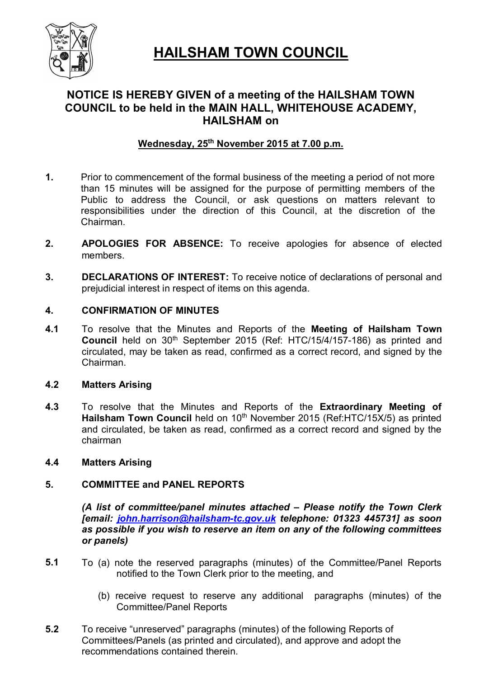

# **HAILSHAM TOWN COUNCIL**

## **NOTICE IS HEREBY GIVEN of a meeting of the HAILSHAM TOWN COUNCIL to be held in the MAIN HALL, WHITEHOUSE ACADEMY, HAILSHAM on**

## **Wednesday, 25th November 2015 at 7.00 p.m.**

- **1.** Prior to commencement of the formal business of the meeting a period of not more than 15 minutes will be assigned for the purpose of permitting members of the Public to address the Council, or ask questions on matters relevant to responsibilities under the direction of this Council, at the discretion of the Chairman.
- **2. APOLOGIES FOR ABSENCE:** To receive apologies for absence of elected members.
- **3. DECLARATIONS OF INTEREST:** To receive notice of declarations of personal and prejudicial interest in respect of items on this agenda.

### **4. CONFIRMATION OF MINUTES**

**4.1** To resolve that the Minutes and Reports of the **Meeting of Hailsham Town Council** held on 30<sup>th</sup> September 2015 (Ref: HTC/15/4/157-186) as printed and circulated, may be taken as read, confirmed as a correct record, and signed by the Chairman.

#### **4.2 Matters Arising**

**4.3** To resolve that the Minutes and Reports of the **Extraordinary Meeting of**  Hailsham Town Council held on 10<sup>th</sup> November 2015 (Ref:HTC/15X/5) as printed and circulated, be taken as read, confirmed as a correct record and signed by the chairman

#### **4.4 Matters Arising**

#### **5. COMMITTEE and PANEL REPORTS**

*(A list of committee/panel minutes attached – Please notify the Town Clerk [email: john.harrison@hailsham-tc.gov.uk telephone: 01323 445731] as soon as possible if you wish to reserve an item on any of the following committees or panels)*

- **5.1** To (a) note the reserved paragraphs (minutes) of the Committee/Panel Reports notified to the Town Clerk prior to the meeting, and
	- (b) receive request to reserve any additional paragraphs (minutes) of the Committee/Panel Reports
- **5.2** To receive "unreserved" paragraphs (minutes) of the following Reports of Committees/Panels (as printed and circulated), and approve and adopt the recommendations contained therein.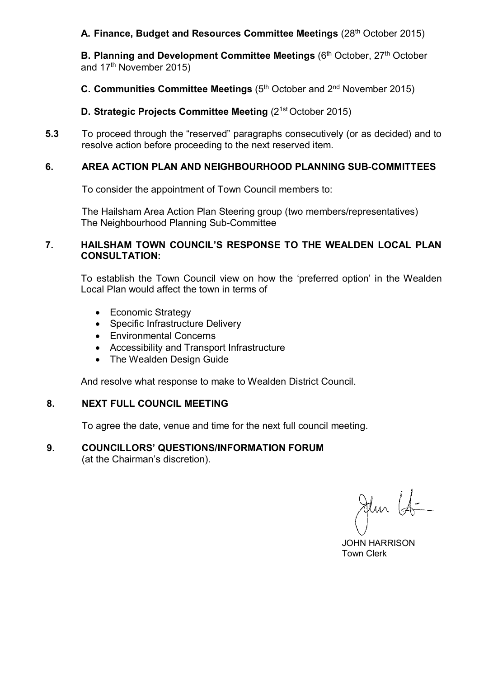#### A. Finance, Budget and Resources Committee Meetings (28<sup>th</sup> October 2015)

**B. Planning and Development Committee Meetings (6<sup>th</sup> October, 27<sup>th</sup> October** and 17<sup>th</sup> November 2015)

**C. Communities Committee Meetings (5<sup>th</sup> October and 2<sup>nd</sup> November 2015)** 

**D. Strategic Projects Committee Meeting (2<sup>1st</sup> October 2015)** 

**5.3** To proceed through the "reserved" paragraphs consecutively (or as decided) and to resolve action before proceeding to the next reserved item.

### **6. AREA ACTION PLAN AND NEIGHBOURHOOD PLANNING SUB-COMMITTEES**

To consider the appointment of Town Council members to:

The Hailsham Area Action Plan Steering group (two members/representatives) The Neighbourhood Planning Sub-Committee

#### **7. HAILSHAM TOWN COUNCIL'S RESPONSE TO THE WEALDEN LOCAL PLAN CONSULTATION:**

To establish the Town Council view on how the 'preferred option' in the Wealden Local Plan would affect the town in terms of

- Economic Strategy
- Specific Infrastructure Delivery
- Environmental Concerns
- Accessibility and Transport Infrastructure
- The Wealden Design Guide

And resolve what response to make to Wealden District Council.

### **8. NEXT FULL COUNCIL MEETING**

To agree the date, venue and time for the next full council meeting.

## **9. COUNCILLORS' QUESTIONS/INFORMATION FORUM**

(at the Chairman's discretion).

Jehn (4-

 JOHN HARRISON Town Clerk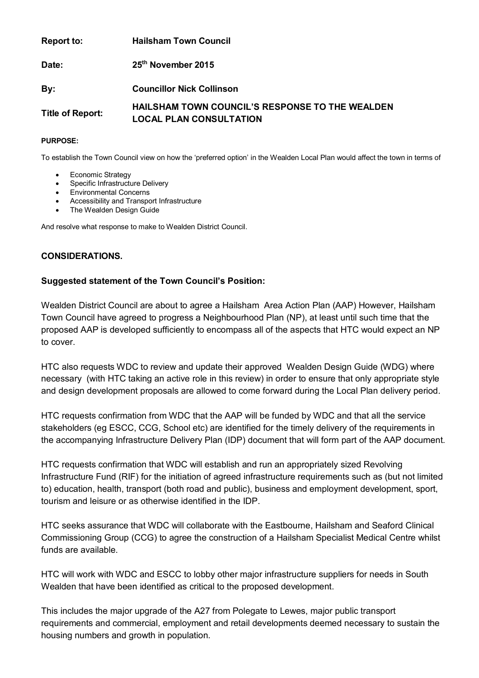| <b>Report to:</b>       | <b>Hailsham Town Council</b>                                                             |
|-------------------------|------------------------------------------------------------------------------------------|
| Date:                   | 25 <sup>th</sup> November 2015                                                           |
| By:                     | <b>Councillor Nick Collinson</b>                                                         |
| <b>Title of Report:</b> | <b>HAILSHAM TOWN COUNCIL'S RESPONSE TO THE WEALDEN</b><br><b>LOCAL PLAN CONSULTATION</b> |

#### **PURPOSE:**

To establish the Town Council view on how the 'preferred option' in the Wealden Local Plan would affect the town in terms of

- Economic Strategy
- Specific Infrastructure Delivery
- Environmental Concerns
- Accessibility and Transport Infrastructure
- The Wealden Design Guide

And resolve what response to make to Wealden District Council.

#### **CONSIDERATIONS.**

#### **Suggested statement of the Town Council's Position:**

Wealden District Council are about to agree a Hailsham Area Action Plan (AAP) However, Hailsham Town Council have agreed to progress a Neighbourhood Plan (NP), at least until such time that the proposed AAP is developed sufficiently to encompass all of the aspects that HTC would expect an NP to cover.

HTC also requests WDC to review and update their approved Wealden Design Guide (WDG) where necessary (with HTC taking an active role in this review) in order to ensure that only appropriate style and design development proposals are allowed to come forward during the Local Plan delivery period.

HTC requests confirmation from WDC that the AAP will be funded by WDC and that all the service stakeholders (eg ESCC, CCG, School etc) are identified for the timely delivery of the requirements in the accompanying Infrastructure Delivery Plan (IDP) document that will form part of the AAP document.

HTC requests confirmation that WDC will establish and run an appropriately sized Revolving Infrastructure Fund (RIF) for the initiation of agreed infrastructure requirements such as (but not limited to) education, health, transport (both road and public), business and employment development, sport, tourism and leisure or as otherwise identified in the IDP.

HTC seeks assurance that WDC will collaborate with the Eastbourne, Hailsham and Seaford Clinical Commissioning Group (CCG) to agree the construction of a Hailsham Specialist Medical Centre whilst funds are available.

HTC will work with WDC and ESCC to lobby other major infrastructure suppliers for needs in South Wealden that have been identified as critical to the proposed development.

This includes the major upgrade of the A27 from Polegate to Lewes, major public transport requirements and commercial, employment and retail developments deemed necessary to sustain the housing numbers and growth in population.